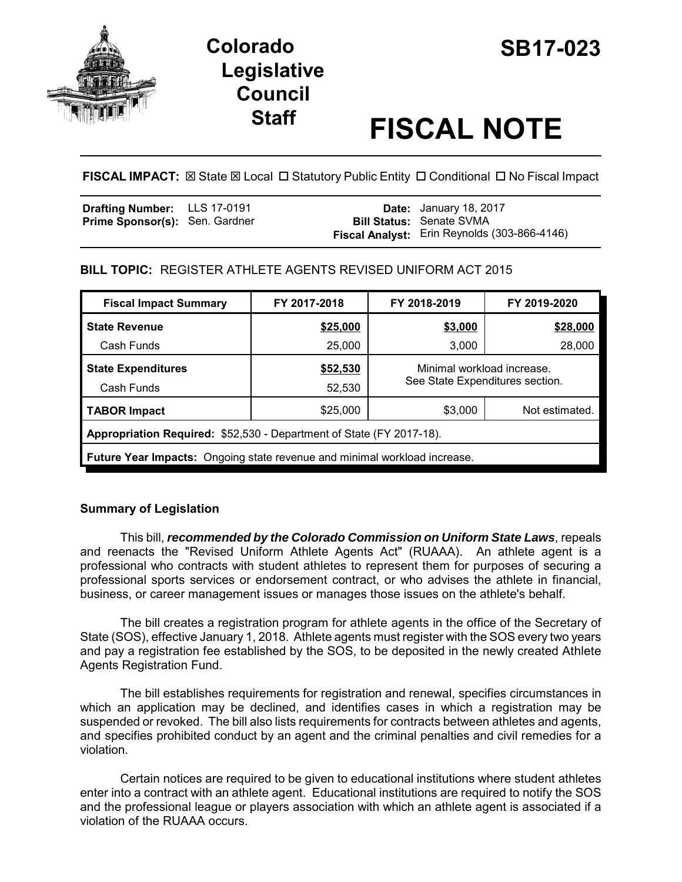

# **Colorado SB17-023 Legislative Council**

# **Staff FISCAL NOTE**

**FISCAL IMPACT:**  $\boxtimes$  State  $\boxtimes$  Local  $\Box$  Statutory Public Entity  $\Box$  Conditional  $\Box$  No Fiscal Impact

| Drafting Number: LLS 17-0191          |  | <b>Date:</b> January 18, 2017                       |  |
|---------------------------------------|--|-----------------------------------------------------|--|
| <b>Prime Sponsor(s): Sen. Gardner</b> |  | <b>Bill Status: Senate SVMA</b>                     |  |
|                                       |  | <b>Fiscal Analyst:</b> Erin Reynolds (303-866-4146) |  |

# **BILL TOPIC:** REGISTER ATHLETE AGENTS REVISED UNIFORM ACT 2015

| <b>Fiscal Impact Summary</b>                                                     | FY 2017-2018 | FY 2018-2019                    | FY 2019-2020   |  |  |  |  |
|----------------------------------------------------------------------------------|--------------|---------------------------------|----------------|--|--|--|--|
| <b>State Revenue</b>                                                             | \$25,000     | \$3,000                         | \$28,000       |  |  |  |  |
| Cash Funds                                                                       | 25,000       | 3,000                           | 28,000         |  |  |  |  |
| <b>State Expenditures</b>                                                        | \$52,530     | Minimal workload increase.      |                |  |  |  |  |
| Cash Funds                                                                       | 52,530       | See State Expenditures section. |                |  |  |  |  |
| <b>TABOR Impact</b>                                                              | \$25,000     | \$3,000                         | Not estimated. |  |  |  |  |
| Appropriation Required: \$52,530 - Department of State (FY 2017-18).             |              |                                 |                |  |  |  |  |
| <b>Future Year Impacts:</b> Ongoing state revenue and minimal workload increase. |              |                                 |                |  |  |  |  |
|                                                                                  |              |                                 |                |  |  |  |  |

# **Summary of Legislation**

This bill, *recommended by the Colorado Commission on Uniform State Laws*, repeals and reenacts the "Revised Uniform Athlete Agents Act" (RUAAA). An athlete agent is a professional who contracts with student athletes to represent them for purposes of securing a professional sports services or endorsement contract, or who advises the athlete in financial, business, or career management issues or manages those issues on the athlete's behalf.

The bill creates a registration program for athlete agents in the office of the Secretary of State (SOS), effective January 1, 2018. Athlete agents must register with the SOS every two years and pay a registration fee established by the SOS, to be deposited in the newly created Athlete Agents Registration Fund.

The bill establishes requirements for registration and renewal, specifies circumstances in which an application may be declined, and identifies cases in which a registration may be suspended or revoked. The bill also lists requirements for contracts between athletes and agents, and specifies prohibited conduct by an agent and the criminal penalties and civil remedies for a violation.

Certain notices are required to be given to educational institutions where student athletes enter into a contract with an athlete agent. Educational institutions are required to notify the SOS and the professional league or players association with which an athlete agent is associated if a violation of the RUAAA occurs.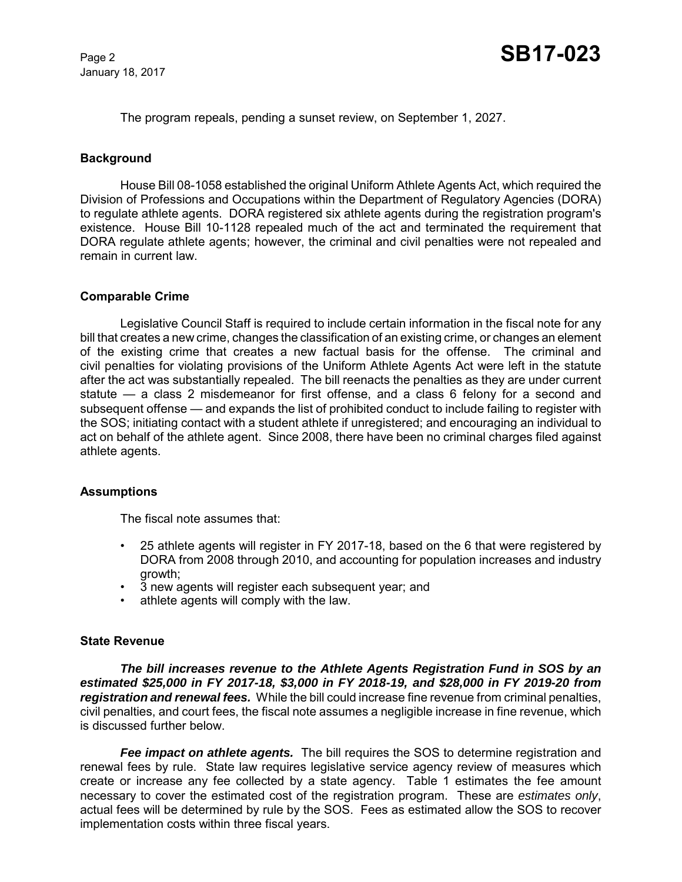The program repeals, pending a sunset review, on September 1, 2027.

# **Background**

House Bill 08-1058 established the original Uniform Athlete Agents Act, which required the Division of Professions and Occupations within the Department of Regulatory Agencies (DORA) to regulate athlete agents. DORA registered six athlete agents during the registration program's existence. House Bill 10-1128 repealed much of the act and terminated the requirement that DORA regulate athlete agents; however, the criminal and civil penalties were not repealed and remain in current law.

# **Comparable Crime**

Legislative Council Staff is required to include certain information in the fiscal note for any bill that creates a new crime, changes the classification of an existing crime, or changes an element of the existing crime that creates a new factual basis for the offense. The criminal and civil penalties for violating provisions of the Uniform Athlete Agents Act were left in the statute after the act was substantially repealed. The bill reenacts the penalties as they are under current statute — a class 2 misdemeanor for first offense, and a class 6 felony for a second and subsequent offense — and expands the list of prohibited conduct to include failing to register with the SOS; initiating contact with a student athlete if unregistered; and encouraging an individual to act on behalf of the athlete agent. Since 2008, there have been no criminal charges filed against athlete agents.

# **Assumptions**

The fiscal note assumes that:

- 25 athlete agents will register in FY 2017-18, based on the 6 that were registered by DORA from 2008 through 2010, and accounting for population increases and industry growth;
- 3 new agents will register each subsequent year; and
- athlete agents will comply with the law.

# **State Revenue**

*The bill increases revenue to the Athlete Agents Registration Fund in SOS by an estimated \$25,000 in FY 2017-18, \$3,000 in FY 2018-19, and \$28,000 in FY 2019-20 from registration and renewal fees.* While the bill could increase fine revenue from criminal penalties, civil penalties, and court fees, the fiscal note assumes a negligible increase in fine revenue, which is discussed further below.

*Fee impact on athlete agents.* The bill requires the SOS to determine registration and renewal fees by rule. State law requires legislative service agency review of measures which create or increase any fee collected by a state agency. Table 1 estimates the fee amount necessary to cover the estimated cost of the registration program. These are *estimates only*, actual fees will be determined by rule by the SOS. Fees as estimated allow the SOS to recover implementation costs within three fiscal years.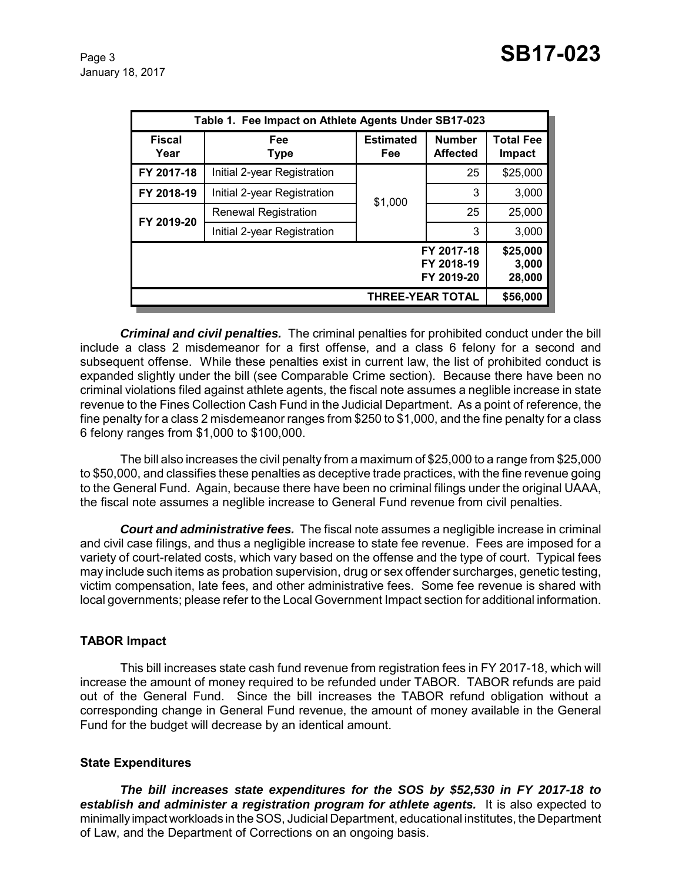| Table 1. Fee Impact on Athlete Agents Under SB17-023 |                             |                         |                                  |                                   |  |  |  |
|------------------------------------------------------|-----------------------------|-------------------------|----------------------------------|-----------------------------------|--|--|--|
| <b>Fiscal</b><br>Year                                | Fee<br><b>Type</b>          | <b>Estimated</b><br>Fee | <b>Number</b><br><b>Affected</b> | <b>Total Fee</b><br><b>Impact</b> |  |  |  |
| FY 2017-18                                           | Initial 2-year Registration |                         | 25                               | \$25,000                          |  |  |  |
| FY 2018-19                                           | Initial 2-year Registration | \$1,000                 | 3                                | 3,000                             |  |  |  |
| FY 2019-20                                           | <b>Renewal Registration</b> |                         | 25                               | 25,000                            |  |  |  |
|                                                      | Initial 2-year Registration |                         | 3                                | 3,000                             |  |  |  |
| FY 2017-18<br>FY 2018-19<br>FY 2019-20               |                             |                         |                                  |                                   |  |  |  |
|                                                      | \$56,000                    |                         |                                  |                                   |  |  |  |

*Criminal and civil penalties.* The criminal penalties for prohibited conduct under the bill include a class 2 misdemeanor for a first offense, and a class 6 felony for a second and subsequent offense. While these penalties exist in current law, the list of prohibited conduct is expanded slightly under the bill (see Comparable Crime section). Because there have been no criminal violations filed against athlete agents, the fiscal note assumes a neglible increase in state revenue to the Fines Collection Cash Fund in the Judicial Department. As a point of reference, the fine penalty for a class 2 misdemeanor ranges from \$250 to \$1,000, and the fine penalty for a class 6 felony ranges from \$1,000 to \$100,000.

The bill also increases the civil penalty from a maximum of \$25,000 to a range from \$25,000 to \$50,000, and classifies these penalties as deceptive trade practices, with the fine revenue going to the General Fund. Again, because there have been no criminal filings under the original UAAA, the fiscal note assumes a neglible increase to General Fund revenue from civil penalties.

*Court and administrative fees.* The fiscal note assumes a negligible increase in criminal and civil case filings, and thus a negligible increase to state fee revenue. Fees are imposed for a variety of court-related costs, which vary based on the offense and the type of court. Typical fees may include such items as probation supervision, drug or sex offender surcharges, genetic testing, victim compensation, late fees, and other administrative fees. Some fee revenue is shared with local governments; please refer to the Local Government Impact section for additional information.

# **TABOR Impact**

This bill increases state cash fund revenue from registration fees in FY 2017-18, which will increase the amount of money required to be refunded under TABOR. TABOR refunds are paid out of the General Fund. Since the bill increases the TABOR refund obligation without a corresponding change in General Fund revenue, the amount of money available in the General Fund for the budget will decrease by an identical amount.

# **State Expenditures**

*The bill increases state expenditures for the SOS by \$52,530 in FY 2017-18 to establish and administer a registration program for athlete agents.* It is also expected to minimally impact workloads in the SOS, Judicial Department, educational institutes, the Department of Law, and the Department of Corrections on an ongoing basis.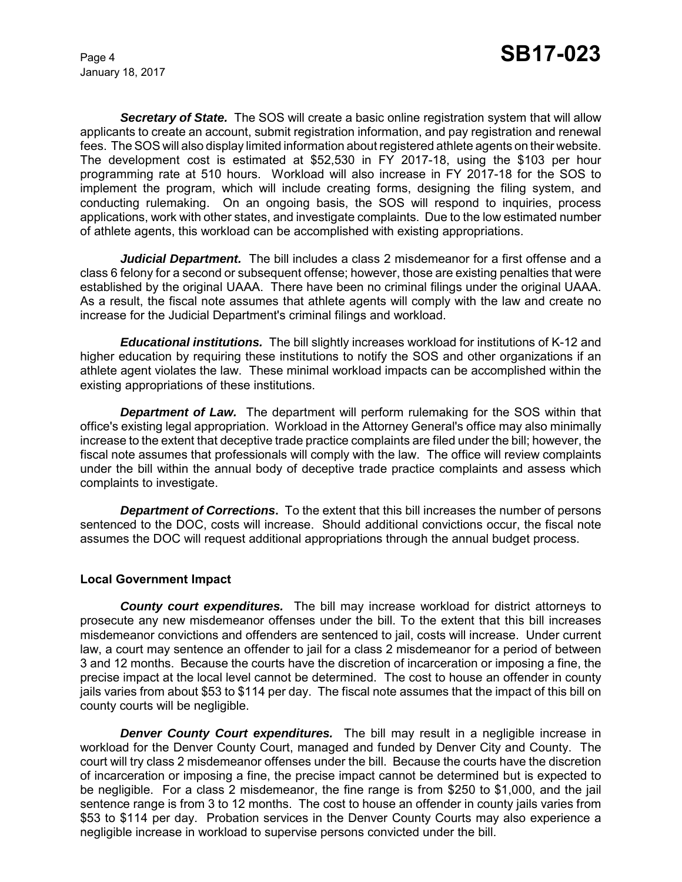*Secretary of State.* The SOS will create a basic online registration system that will allow applicants to create an account, submit registration information, and pay registration and renewal fees. The SOS will also display limited information about registered athlete agents on their website. The development cost is estimated at \$52,530 in FY 2017-18, using the \$103 per hour programming rate at 510 hours. Workload will also increase in FY 2017-18 for the SOS to implement the program, which will include creating forms, designing the filing system, and conducting rulemaking. On an ongoing basis, the SOS will respond to inquiries, process applications, work with other states, and investigate complaints. Due to the low estimated number of athlete agents, this workload can be accomplished with existing appropriations.

*Judicial Department.* The bill includes a class 2 misdemeanor for a first offense and a class 6 felony for a second or subsequent offense; however, those are existing penalties that were established by the original UAAA. There have been no criminal filings under the original UAAA. As a result, the fiscal note assumes that athlete agents will comply with the law and create no increase for the Judicial Department's criminal filings and workload.

*Educational institutions.* The bill slightly increases workload for institutions of K-12 and higher education by requiring these institutions to notify the SOS and other organizations if an athlete agent violates the law. These minimal workload impacts can be accomplished within the existing appropriations of these institutions.

*Department of Law.* The department will perform rulemaking for the SOS within that office's existing legal appropriation. Workload in the Attorney General's office may also minimally increase to the extent that deceptive trade practice complaints are filed under the bill; however, the fiscal note assumes that professionals will comply with the law. The office will review complaints under the bill within the annual body of deceptive trade practice complaints and assess which complaints to investigate.

**Department of Corrections.** To the extent that this bill increases the number of persons sentenced to the DOC, costs will increase. Should additional convictions occur, the fiscal note assumes the DOC will request additional appropriations through the annual budget process.

# **Local Government Impact**

*County court expenditures.* The bill may increase workload for district attorneys to prosecute any new misdemeanor offenses under the bill. To the extent that this bill increases misdemeanor convictions and offenders are sentenced to jail, costs will increase. Under current law, a court may sentence an offender to jail for a class 2 misdemeanor for a period of between 3 and 12 months. Because the courts have the discretion of incarceration or imposing a fine, the precise impact at the local level cannot be determined. The cost to house an offender in county jails varies from about \$53 to \$114 per day. The fiscal note assumes that the impact of this bill on county courts will be negligible.

**Denver County Court expenditures.** The bill may result in a negligible increase in workload for the Denver County Court, managed and funded by Denver City and County. The court will try class 2 misdemeanor offenses under the bill. Because the courts have the discretion of incarceration or imposing a fine, the precise impact cannot be determined but is expected to be negligible. For a class 2 misdemeanor, the fine range is from \$250 to \$1,000, and the jail sentence range is from 3 to 12 months. The cost to house an offender in county jails varies from \$53 to \$114 per day. Probation services in the Denver County Courts may also experience a negligible increase in workload to supervise persons convicted under the bill.